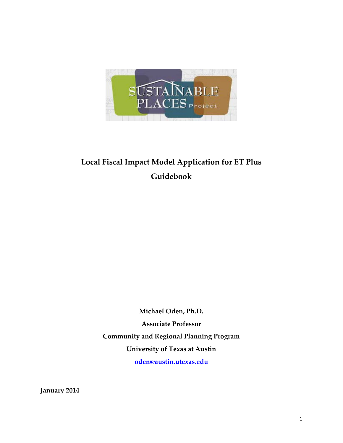

# **Local Fiscal Impact Model Application for ET Plus Guidebook**

**Michael Oden, Ph.D. Associate Professor Community and Regional Planning Program University of Texas at Austin [oden@austin.utexas.edu](mailto:oden@austin.utexas.edu)**

**January 2014**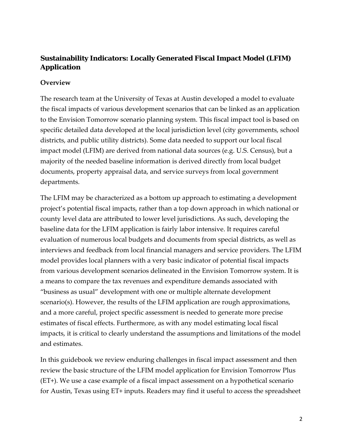# **Sustainability Indicators: Locally Generated Fiscal Impact Model (LFIM) Application**

### **Overview**

The research team at the University of Texas at Austin developed a model to evaluate the fiscal impacts of various development scenarios that can be linked as an application to the Envision Tomorrow scenario planning system. This fiscal impact tool is based on specific detailed data developed at the local jurisdiction level (city governments, school districts, and public utility districts). Some data needed to support our local fiscal impact model (LFIM) are derived from national data sources (e.g. U.S. Census), but a majority of the needed baseline information is derived directly from local budget documents, property appraisal data, and service surveys from local government departments.

The LFIM may be characterized as a bottom up approach to estimating a development project's potential fiscal impacts, rather than a top down approach in which national or county level data are attributed to lower level jurisdictions. As such, developing the baseline data for the LFIM application is fairly labor intensive. It requires careful evaluation of numerous local budgets and documents from special districts, as well as interviews and feedback from local financial managers and service providers. The LFIM model provides local planners with a very basic indicator of potential fiscal impacts from various development scenarios delineated in the Envision Tomorrow system. It is a means to compare the tax revenues and expenditure demands associated with "business as usual" development with one or multiple alternate development scenario(s). However, the results of the LFIM application are rough approximations, and a more careful, project specific assessment is needed to generate more precise estimates of fiscal effects. Furthermore, as with any model estimating local fiscal impacts, it is critical to clearly understand the assumptions and limitations of the model and estimates.

In this guidebook we review enduring challenges in fiscal impact assessment and then review the basic structure of the LFIM model application for Envision Tomorrow Plus (ET+). We use a case example of a fiscal impact assessment on a hypothetical scenario for Austin, Texas using ET+ inputs. Readers may find it useful to access the spreadsheet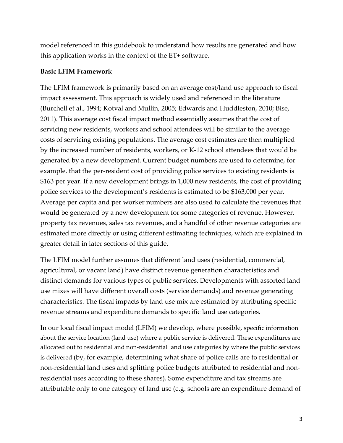model referenced in this guidebook to understand how results are generated and how this application works in the context of the ET+ software.

#### **Basic LFIM Framework**

The LFIM framework is primarily based on an average cost/land use approach to fiscal impact assessment. This approach is widely used and referenced in the literature (Burchell et al., 1994; Kotval and Mullin, 2005; Edwards and Huddleston, 2010; Bise, 2011). This average cost fiscal impact method essentially assumes that the cost of servicing new residents, workers and school attendees will be similar to the average costs of servicing existing populations. The average cost estimates are then multiplied by the increased number of residents, workers, or K-12 school attendees that would be generated by a new development. Current budget numbers are used to determine, for example, that the per-resident cost of providing police services to existing residents is \$163 per year. If a new development brings in 1,000 new residents, the cost of providing police services to the development's residents is estimated to be \$163,000 per year. Average per capita and per worker numbers are also used to calculate the revenues that would be generated by a new development for some categories of revenue. However, property tax revenues, sales tax revenues, and a handful of other revenue categories are estimated more directly or using different estimating techniques, which are explained in greater detail in later sections of this guide.

The LFIM model further assumes that different land uses (residential, commercial, agricultural, or vacant land) have distinct revenue generation characteristics and distinct demands for various types of public services. Developments with assorted land use mixes will have different overall costs (service demands) and revenue generating characteristics. The fiscal impacts by land use mix are estimated by attributing specific revenue streams and expenditure demands to specific land use categories.

In our local fiscal impact model (LFIM) we develop, where possible, specific information about the service location (land use) where a public service is delivered. These expenditures are allocated out to residential and non-residential land use categories by where the public services is delivered (by, for example, determining what share of police calls are to residential or non-residential land uses and splitting police budgets attributed to residential and nonresidential uses according to these shares). Some expenditure and tax streams are attributable only to one category of land use (e.g. schools are an expenditure demand of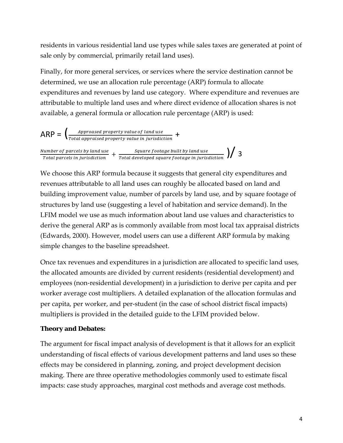residents in various residential land use types while sales taxes are generated at point of sale only by commercial, primarily retail land uses).

Finally, for more general services, or services where the service destination cannot be determined, we use an allocation rule percentage (ARP) formula to allocate expenditures and revenues by land use category. Where expenditure and revenues are attributable to multiple land uses and where direct evidence of allocation shares is not available, a general formula or allocation rule percentage (ARP) is used:

$$
ARP = \left( \frac{Approxed property value of land use}{Total app raised property value in jurisdiction} + \frac{Number of parcels by land use}{Total parcels in jurisdiction} + \frac{Square footage built by land use}{Total parcels in jurisdiction} + \frac{Square footage built by land use}{Total parcels in jurisdiction} \right)
$$

We choose this ARP formula because it suggests that general city expenditures and revenues attributable to all land uses can roughly be allocated based on land and building improvement value, number of parcels by land use, and by square footage of structures by land use (suggesting a level of habitation and service demand). In the LFIM model we use as much information about land use values and characteristics to derive the general ARP as is commonly available from most local tax appraisal districts (Edwards, 2000). However, model users can use a different ARP formula by making simple changes to the baseline spreadsheet.

Once tax revenues and expenditures in a jurisdiction are allocated to specific land uses, the allocated amounts are divided by current residents (residential development) and employees (non-residential development) in a jurisdiction to derive per capita and per worker average cost multipliers. A detailed explanation of the allocation formulas and per capita, per worker, and per-student (in the case of school district fiscal impacts) multipliers is provided in the detailed guide to the LFIM provided below.

#### **Theory and Debates:**

The argument for fiscal impact analysis of development is that it allows for an explicit understanding of fiscal effects of various development patterns and land uses so these effects may be considered in planning, zoning, and project development decision making. There are three operative methodologies commonly used to estimate fiscal impacts: case study approaches, marginal cost methods and average cost methods.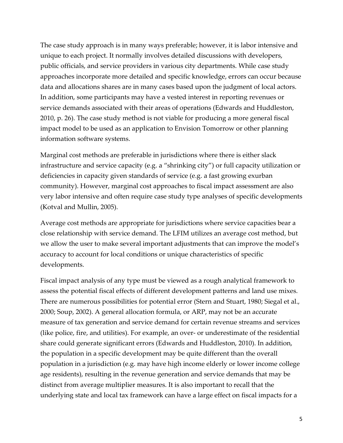The case study approach is in many ways preferable; however, it is labor intensive and unique to each project. It normally involves detailed discussions with developers, public officials, and service providers in various city departments. While case study approaches incorporate more detailed and specific knowledge, errors can occur because data and allocations shares are in many cases based upon the judgment of local actors. In addition, some participants may have a vested interest in reporting revenues or service demands associated with their areas of operations (Edwards and Huddleston, 2010, p. 26). The case study method is not viable for producing a more general fiscal impact model to be used as an application to Envision Tomorrow or other planning information software systems.

Marginal cost methods are preferable in jurisdictions where there is either slack infrastructure and service capacity (e.g. a "shrinking city") or full capacity utilization or deficiencies in capacity given standards of service (e.g. a fast growing exurban community). However, marginal cost approaches to fiscal impact assessment are also very labor intensive and often require case study type analyses of specific developments (Kotval and Mullin, 2005).

Average cost methods are appropriate for jurisdictions where service capacities bear a close relationship with service demand. The LFIM utilizes an average cost method, but we allow the user to make several important adjustments that can improve the model's accuracy to account for local conditions or unique characteristics of specific developments.

Fiscal impact analysis of any type must be viewed as a rough analytical framework to assess the potential fiscal effects of different development patterns and land use mixes. There are numerous possibilities for potential error (Stern and Stuart, 1980; Siegal et al., 2000; Soup, 2002). A general allocation formula, or ARP, may not be an accurate measure of tax generation and service demand for certain revenue streams and services (like police, fire, and utilities). For example, an over- or underestimate of the residential share could generate significant errors (Edwards and Huddleston, 2010). In addition, the population in a specific development may be quite different than the overall population in a jurisdiction (e.g. may have high income elderly or lower income college age residents), resulting in the revenue generation and service demands that may be distinct from average multiplier measures. It is also important to recall that the underlying state and local tax framework can have a large effect on fiscal impacts for a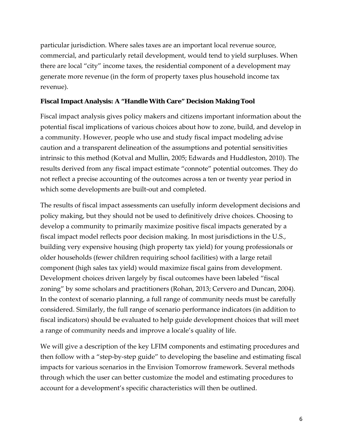particular jurisdiction. Where sales taxes are an important local revenue source, commercial, and particularly retail development, would tend to yield surpluses. When there are local "city" income taxes, the residential component of a development may generate more revenue (in the form of property taxes plus household income tax revenue).

#### **Fiscal Impact Analysis: A "Handle With Care" Decision Making Tool**

Fiscal impact analysis gives policy makers and citizens important information about the potential fiscal implications of various choices about how to zone, build, and develop in a community. However, people who use and study fiscal impact modeling advise caution and a transparent delineation of the assumptions and potential sensitivities intrinsic to this method (Kotval and Mullin, 2005; Edwards and Huddleston, 2010). The results derived from any fiscal impact estimate "connote" potential outcomes. They do not reflect a precise accounting of the outcomes across a ten or twenty year period in which some developments are built-out and completed.

The results of fiscal impact assessments can usefully inform development decisions and policy making, but they should not be used to definitively drive choices. Choosing to develop a community to primarily maximize positive fiscal impacts generated by a fiscal impact model reflects poor decision making. In most jurisdictions in the U.S., building very expensive housing (high property tax yield) for young professionals or older households (fewer children requiring school facilities) with a large retail component (high sales tax yield) would maximize fiscal gains from development. Development choices driven largely by fiscal outcomes have been labeled "fiscal zoning" by some scholars and practitioners (Rohan, 2013; Cervero and Duncan, 2004). In the context of scenario planning, a full range of community needs must be carefully considered. Similarly, the full range of scenario performance indicators (in addition to fiscal indicators) should be evaluated to help guide development choices that will meet a range of community needs and improve a locale's quality of life.

We will give a description of the key LFIM components and estimating procedures and then follow with a "step-by-step guide" to developing the baseline and estimating fiscal impacts for various scenarios in the Envision Tomorrow framework. Several methods through which the user can better customize the model and estimating procedures to account for a development's specific characteristics will then be outlined.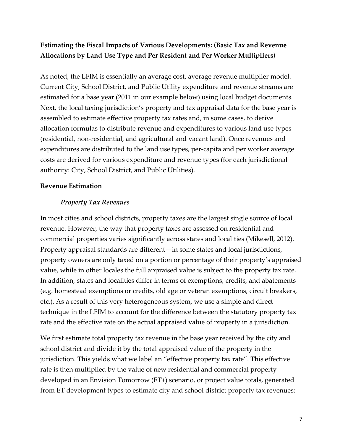# **Estimating the Fiscal Impacts of Various Developments: (Basic Tax and Revenue Allocations by Land Use Type and Per Resident and Per Worker Multipliers)**

As noted, the LFIM is essentially an average cost, average revenue multiplier model. Current City, School District, and Public Utility expenditure and revenue streams are estimated for a base year (2011 in our example below) using local budget documents. Next, the local taxing jurisdiction's property and tax appraisal data for the base year is assembled to estimate effective property tax rates and, in some cases, to derive allocation formulas to distribute revenue and expenditures to various land use types (residential, non-residential, and agricultural and vacant land). Once revenues and expenditures are distributed to the land use types, per-capita and per worker average costs are derived for various expenditure and revenue types (for each jurisdictional authority: City, School District, and Public Utilities).

#### **Revenue Estimation**

#### *Property Tax Revenues*

In most cities and school districts, property taxes are the largest single source of local revenue. However, the way that property taxes are assessed on residential and commercial properties varies significantly across states and localities (Mikesell, 2012). Property appraisal standards are different—in some states and local jurisdictions, property owners are only taxed on a portion or percentage of their property's appraised value, while in other locales the full appraised value is subject to the property tax rate. In addition, states and localities differ in terms of exemptions, credits, and abatements (e.g. homestead exemptions or credits, old age or veteran exemptions, circuit breakers, etc.). As a result of this very heterogeneous system, we use a simple and direct technique in the LFIM to account for the difference between the statutory property tax rate and the effective rate on the actual appraised value of property in a jurisdiction.

We first estimate total property tax revenue in the base year received by the city and school district and divide it by the total appraised value of the property in the jurisdiction. This yields what we label an "effective property tax rate". This effective rate is then multiplied by the value of new residential and commercial property developed in an Envision Tomorrow (ET+) scenario, or project value totals, generated from ET development types to estimate city and school district property tax revenues: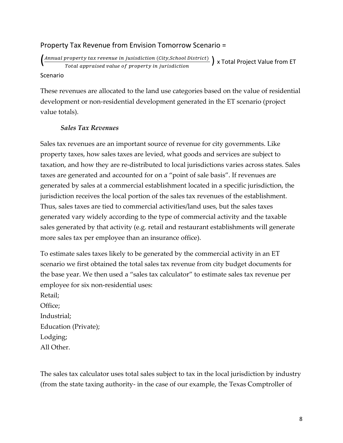## Property Tax Revenue from Envision Tomorrow Scenario =

 $\left(\frac{Annual\ property\ tax\ revenue\ in\ justification\ (City, School\ District)}{Total\ approach\ value\ of\ property\ in\ jurisdiction}\right)$  x Total Project Value from ET

Scenario

These revenues are allocated to the land use categories based on the value of residential development or non-residential development generated in the ET scenario (project value totals).

#### *Sales Tax Revenues*

Sales tax revenues are an important source of revenue for city governments. Like property taxes, how sales taxes are levied, what goods and services are subject to taxation, and how they are re-distributed to local jurisdictions varies across states. Sales taxes are generated and accounted for on a "point of sale basis". If revenues are generated by sales at a commercial establishment located in a specific jurisdiction, the jurisdiction receives the local portion of the sales tax revenues of the establishment. Thus, sales taxes are tied to commercial activities/land uses, but the sales taxes generated vary widely according to the type of commercial activity and the taxable sales generated by that activity (e.g. retail and restaurant establishments will generate more sales tax per employee than an insurance office).

To estimate sales taxes likely to be generated by the commercial activity in an ET scenario we first obtained the total sales tax revenue from city budget documents for the base year. We then used a "sales tax calculator" to estimate sales tax revenue per employee for six non-residential uses:

Retail; Office; Industrial; Education (Private); Lodging; All Other.

The sales tax calculator uses total sales subject to tax in the local jurisdiction by industry (from the state taxing authority- in the case of our example, the Texas Comptroller of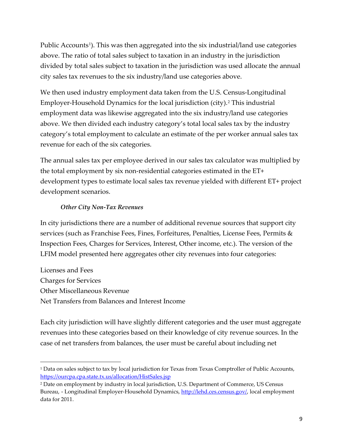Public Accounts<sup>[1](#page-8-0)</sup>). This was then aggregated into the six industrial/land use categories above. The ratio of total sales subject to taxation in an industry in the jurisdiction divided by total sales subject to taxation in the jurisdiction was used allocate the annual city sales tax revenues to the six industry/land use categories above.

We then used industry employment data taken from the U.S. Census-Longitudinal Employer-Household Dynamics for the local jurisdiction (city).[2](#page-8-1) This industrial employment data was likewise aggregated into the six industry/land use categories above. We then divided each industry category's total local sales tax by the industry category's total employment to calculate an estimate of the per worker annual sales tax revenue for each of the six categories.

The annual sales tax per employee derived in our sales tax calculator was multiplied by the total employment by six non-residential categories estimated in the ET+ development types to estimate local sales tax revenue yielded with different ET+ project development scenarios.

#### *Other City Non-Tax Revenues*

In city jurisdictions there are a number of additional revenue sources that support city services (such as Franchise Fees, Fines, Forfeitures, Penalties, License Fees, Permits & Inspection Fees, Charges for Services, Interest, Other income, etc.). The version of the LFIM model presented here aggregates other city revenues into four categories:

Licenses and Fees Charges for Services Other Miscellaneous Revenue Net Transfers from Balances and Interest Income

 $\overline{\phantom{a}}$ 

Each city jurisdiction will have slightly different categories and the user must aggregate revenues into these categories based on their knowledge of city revenue sources. In the case of net transfers from balances, the user must be careful about including net

<span id="page-8-0"></span><sup>&</sup>lt;sup>1</sup> Data on sales subject to tax by local jurisdiction for Texas from Texas Comptroller of Public Accounts, <https://ourcpa.cpa.state.tx.us/allocation/HistSales.jsp>

<span id="page-8-1"></span><sup>2</sup> Date on employment by industry in local jurisdiction, U.S. Department of Commerce, US Census Bureau, - Longitudinal Employer-Household Dynamics, [http://lehd.ces.census.gov/,](http://lehd.ces.census.gov/) local employment data for 2011.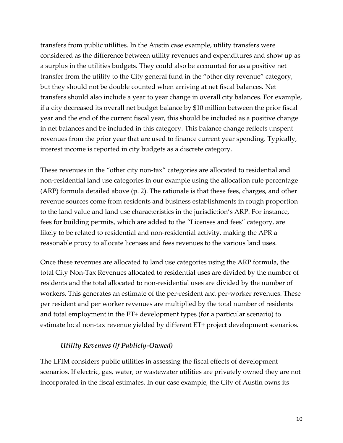transfers from public utilities. In the Austin case example, utility transfers were considered as the difference between utility revenues and expenditures and show up as a surplus in the utilities budgets. They could also be accounted for as a positive net transfer from the utility to the City general fund in the "other city revenue" category, but they should not be double counted when arriving at net fiscal balances. Net transfers should also include a year to year change in overall city balances. For example, if a city decreased its overall net budget balance by \$10 million between the prior fiscal year and the end of the current fiscal year, this should be included as a positive change in net balances and be included in this category. This balance change reflects unspent revenues from the prior year that are used to finance current year spending. Typically, interest income is reported in city budgets as a discrete category.

These revenues in the "other city non-tax" categories are allocated to residential and non-residential land use categories in our example using the allocation rule percentage (ARP) formula detailed above (p. 2). The rationale is that these fees, charges, and other revenue sources come from residents and business establishments in rough proportion to the land value and land use characteristics in the jurisdiction's ARP. For instance, fees for building permits, which are added to the "Licenses and fees" category, are likely to be related to residential and non-residential activity, making the APR a reasonable proxy to allocate licenses and fees revenues to the various land uses.

Once these revenues are allocated to land use categories using the ARP formula, the total City Non-Tax Revenues allocated to residential uses are divided by the number of residents and the total allocated to non-residential uses are divided by the number of workers. This generates an estimate of the per-resident and per-worker revenues. These per resident and per worker revenues are multiplied by the total number of residents and total employment in the ET+ development types (for a particular scenario) to estimate local non-tax revenue yielded by different ET+ project development scenarios.

#### *Utility Revenues (if Publicly-Owned)*

The LFIM considers public utilities in assessing the fiscal effects of development scenarios. If electric, gas, water, or wastewater utilities are privately owned they are not incorporated in the fiscal estimates. In our case example, the City of Austin owns its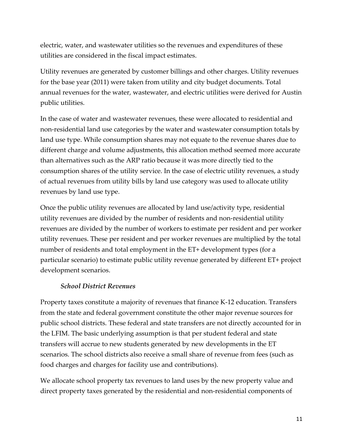electric, water, and wastewater utilities so the revenues and expenditures of these utilities are considered in the fiscal impact estimates.

Utility revenues are generated by customer billings and other charges. Utility revenues for the base year (2011) were taken from utility and city budget documents. Total annual revenues for the water, wastewater, and electric utilities were derived for Austin public utilities.

In the case of water and wastewater revenues, these were allocated to residential and non-residential land use categories by the water and wastewater consumption totals by land use type. While consumption shares may not equate to the revenue shares due to different charge and volume adjustments, this allocation method seemed more accurate than alternatives such as the ARP ratio because it was more directly tied to the consumption shares of the utility service. In the case of electric utility revenues, a study of actual revenues from utility bills by land use category was used to allocate utility revenues by land use type.

Once the public utility revenues are allocated by land use/activity type, residential utility revenues are divided by the number of residents and non-residential utility revenues are divided by the number of workers to estimate per resident and per worker utility revenues. These per resident and per worker revenues are multiplied by the total number of residents and total employment in the ET+ development types (for a particular scenario) to estimate public utility revenue generated by different ET+ project development scenarios.

#### *School District Revenues*

Property taxes constitute a majority of revenues that finance K-12 education. Transfers from the state and federal government constitute the other major revenue sources for public school districts. These federal and state transfers are not directly accounted for in the LFIM. The basic underlying assumption is that per student federal and state transfers will accrue to new students generated by new developments in the ET scenarios. The school districts also receive a small share of revenue from fees (such as food charges and charges for facility use and contributions).

We allocate school property tax revenues to land uses by the new property value and direct property taxes generated by the residential and non-residential components of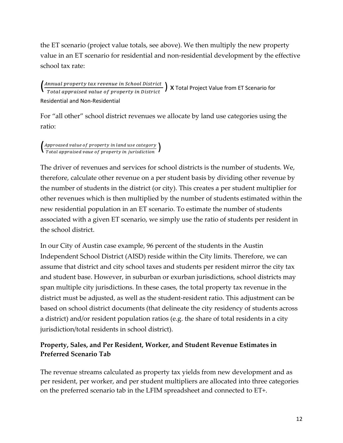the ET scenario (project value totals, see above). We then multiply the new property value in an ET scenario for residential and non-residential development by the effective school tax rate:

 $\left( \frac{Annual \ property \ tax \ revenue \ in \ School \ District}{Total \ approach} \right)$  X Total Project Value from ET Scenario for Residential and Non-Residential

For "all other" school district revenues we allocate by land use categories using the ratio:

 $\left(\frac{\textit{Approased value of property in land use category}}{\textit{Total appraised value of property in jurisdiction}}\right)$ 

The driver of revenues and services for school districts is the number of students. We, therefore, calculate other revenue on a per student basis by dividing other revenue by the number of students in the district (or city). This creates a per student multiplier for other revenues which is then multiplied by the number of students estimated within the new residential population in an ET scenario. To estimate the number of students associated with a given ET scenario, we simply use the ratio of students per resident in the school district.

In our City of Austin case example, 96 percent of the students in the Austin Independent School District (AISD) reside within the City limits. Therefore, we can assume that district and city school taxes and students per resident mirror the city tax and student base. However, in suburban or exurban jurisdictions, school districts may span multiple city jurisdictions. In these cases, the total property tax revenue in the district must be adjusted, as well as the student-resident ratio. This adjustment can be based on school district documents (that delineate the city residency of students across a district) and/or resident population ratios (e.g. the share of total residents in a city jurisdiction/total residents in school district).

## **Property, Sales, and Per Resident, Worker, and Student Revenue Estimates in Preferred Scenario Tab**

The revenue streams calculated as property tax yields from new development and as per resident, per worker, and per student multipliers are allocated into three categories on the preferred scenario tab in the LFIM spreadsheet and connected to ET+.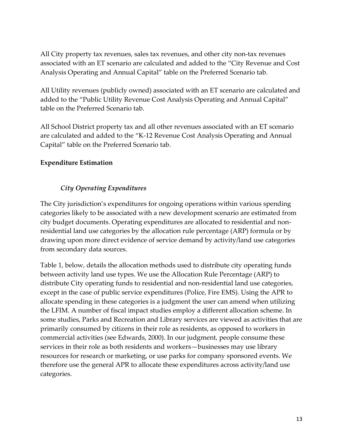All City property tax revenues, sales tax revenues, and other city non-tax revenues associated with an ET scenario are calculated and added to the "City Revenue and Cost Analysis Operating and Annual Capital" table on the Preferred Scenario tab.

All Utility revenues (publicly owned) associated with an ET scenario are calculated and added to the "Public Utility Revenue Cost Analysis Operating and Annual Capital" table on the Preferred Scenario tab.

All School District property tax and all other revenues associated with an ET scenario are calculated and added to the "K-12 Revenue Cost Analysis Operating and Annual Capital" table on the Preferred Scenario tab.

## **Expenditure Estimation**

## *City Operating Expenditures*

The City jurisdiction's expenditures for ongoing operations within various spending categories likely to be associated with a new development scenario are estimated from city budget documents. Operating expenditures are allocated to residential and nonresidential land use categories by the allocation rule percentage (ARP) formula or by drawing upon more direct evidence of service demand by activity/land use categories from secondary data sources.

Table 1, below, details the allocation methods used to distribute city operating funds between activity land use types. We use the Allocation Rule Percentage (ARP) to distribute City operating funds to residential and non-residential land use categories, except in the case of public service expenditures (Police, Fire EMS). Using the APR to allocate spending in these categories is a judgment the user can amend when utilizing the LFIM. A number of fiscal impact studies employ a different allocation scheme. In some studies, Parks and Recreation and Library services are viewed as activities that are primarily consumed by citizens in their role as residents, as opposed to workers in commercial activities (see Edwards, 2000). In our judgment, people consume these services in their role as both residents and workers—businesses may use library resources for research or marketing, or use parks for company sponsored events. We therefore use the general APR to allocate these expenditures across activity/land use categories.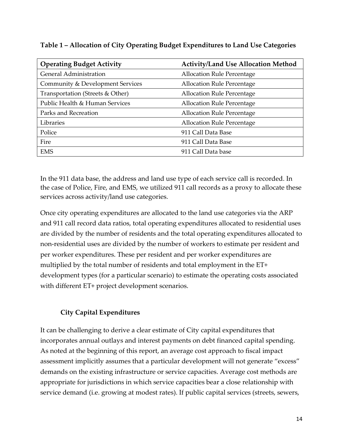| <b>Operating Budget Activity</b> | <b>Activity/Land Use Allocation Method</b> |
|----------------------------------|--------------------------------------------|
| <b>General Administration</b>    | <b>Allocation Rule Percentage</b>          |
| Community & Development Services | <b>Allocation Rule Percentage</b>          |
| Transportation (Streets & Other) | <b>Allocation Rule Percentage</b>          |
| Public Health & Human Services   | <b>Allocation Rule Percentage</b>          |
| Parks and Recreation             | <b>Allocation Rule Percentage</b>          |
| Libraries                        | <b>Allocation Rule Percentage</b>          |
| Police                           | 911 Call Data Base                         |
| Fire                             | 911 Call Data Base                         |
| <b>EMS</b>                       | 911 Call Data base                         |

**Table 1 – Allocation of City Operating Budget Expenditures to Land Use Categories**

In the 911 data base, the address and land use type of each service call is recorded. In the case of Police, Fire, and EMS, we utilized 911 call records as a proxy to allocate these services across activity/land use categories.

Once city operating expenditures are allocated to the land use categories via the ARP and 911 call record data ratios, total operating expenditures allocated to residential uses are divided by the number of residents and the total operating expenditures allocated to non-residential uses are divided by the number of workers to estimate per resident and per worker expenditures. These per resident and per worker expenditures are multiplied by the total number of residents and total employment in the ET+ development types (for a particular scenario) to estimate the operating costs associated with different ET+ project development scenarios.

## **City Capital Expenditures**

It can be challenging to derive a clear estimate of City capital expenditures that incorporates annual outlays and interest payments on debt financed capital spending. As noted at the beginning of this report, an average cost approach to fiscal impact assessment implicitly assumes that a particular development will not generate "excess" demands on the existing infrastructure or service capacities. Average cost methods are appropriate for jurisdictions in which service capacities bear a close relationship with service demand (i.e. growing at modest rates). If public capital services (streets, sewers,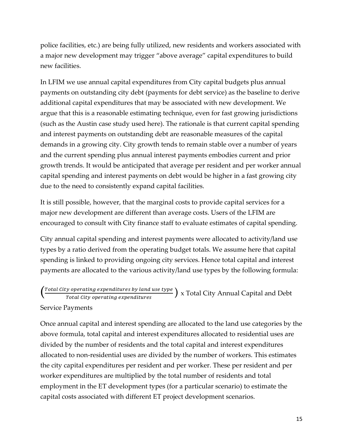police facilities, etc.) are being fully utilized, new residents and workers associated with a major new development may trigger "above average" capital expenditures to build new facilities.

In LFIM we use annual capital expenditures from City capital budgets plus annual payments on outstanding city debt (payments for debt service) as the baseline to derive additional capital expenditures that may be associated with new development. We argue that this is a reasonable estimating technique, even for fast growing jurisdictions (such as the Austin case study used here). The rationale is that current capital spending and interest payments on outstanding debt are reasonable measures of the capital demands in a growing city. City growth tends to remain stable over a number of years and the current spending plus annual interest payments embodies current and prior growth trends. It would be anticipated that average per resident and per worker annual capital spending and interest payments on debt would be higher in a fast growing city due to the need to consistently expand capital facilities.

It is still possible, however, that the marginal costs to provide capital services for a major new development are different than average costs. Users of the LFIM are encouraged to consult with City finance staff to evaluate estimates of capital spending.

City annual capital spending and interest payments were allocated to activity/land use types by a ratio derived from the operating budget totals. We assume here that capital spending is linked to providing ongoing city services. Hence total capital and interest payments are allocated to the various activity/land use types by the following formula:

# $\left( \frac{\text{Total City operating expenditures by land use type}}{\text{Total City operating expenditures}} \right)$  x Total City Annual Capital and Debt Service Payments

Once annual capital and interest spending are allocated to the land use categories by the above formula, total capital and interest expenditures allocated to residential uses are divided by the number of residents and the total capital and interest expenditures allocated to non-residential uses are divided by the number of workers. This estimates the city capital expenditures per resident and per worker. These per resident and per worker expenditures are multiplied by the total number of residents and total employment in the ET development types (for a particular scenario) to estimate the capital costs associated with different ET project development scenarios.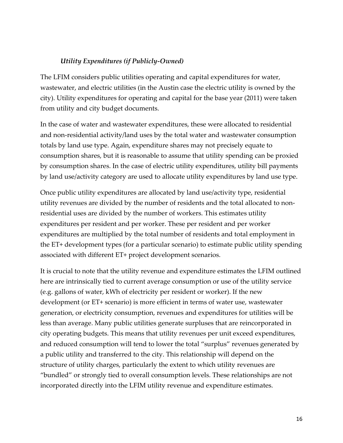### *Utility Expenditures (if Publicly-Owned)*

The LFIM considers public utilities operating and capital expenditures for water, wastewater, and electric utilities (in the Austin case the electric utility is owned by the city). Utility expenditures for operating and capital for the base year (2011) were taken from utility and city budget documents.

In the case of water and wastewater expenditures, these were allocated to residential and non-residential activity/land uses by the total water and wastewater consumption totals by land use type. Again, expenditure shares may not precisely equate to consumption shares, but it is reasonable to assume that utility spending can be proxied by consumption shares. In the case of electric utility expenditures, utility bill payments by land use/activity category are used to allocate utility expenditures by land use type.

Once public utility expenditures are allocated by land use/activity type, residential utility revenues are divided by the number of residents and the total allocated to nonresidential uses are divided by the number of workers. This estimates utility expenditures per resident and per worker. These per resident and per worker expenditures are multiplied by the total number of residents and total employment in the ET+ development types (for a particular scenario) to estimate public utility spending associated with different ET+ project development scenarios.

It is crucial to note that the utility revenue and expenditure estimates the LFIM outlined here are intrinsically tied to current average consumption or use of the utility service (e.g. gallons of water, kWh of electricity per resident or worker). If the new development (or ET+ scenario) is more efficient in terms of water use, wastewater generation, or electricity consumption, revenues and expenditures for utilities will be less than average. Many public utilities generate surpluses that are reincorporated in city operating budgets. This means that utility revenues per unit exceed expenditures, and reduced consumption will tend to lower the total "surplus" revenues generated by a public utility and transferred to the city. This relationship will depend on the structure of utility charges, particularly the extent to which utility revenues are "bundled" or strongly tied to overall consumption levels. These relationships are not incorporated directly into the LFIM utility revenue and expenditure estimates.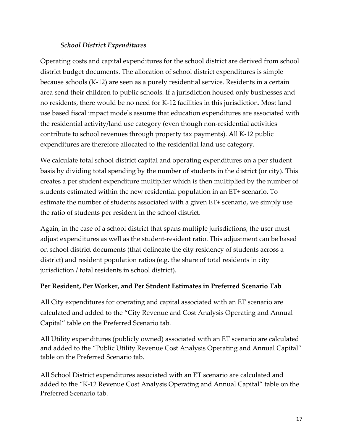#### *School District Expenditures*

Operating costs and capital expenditures for the school district are derived from school district budget documents. The allocation of school district expenditures is simple because schools (K-12) are seen as a purely residential service. Residents in a certain area send their children to public schools. If a jurisdiction housed only businesses and no residents, there would be no need for K-12 facilities in this jurisdiction. Most land use based fiscal impact models assume that education expenditures are associated with the residential activity/land use category (even though non-residential activities contribute to school revenues through property tax payments). All K-12 public expenditures are therefore allocated to the residential land use category.

We calculate total school district capital and operating expenditures on a per student basis by dividing total spending by the number of students in the district (or city). This creates a per student expenditure multiplier which is then multiplied by the number of students estimated within the new residential population in an ET+ scenario. To estimate the number of students associated with a given ET+ scenario, we simply use the ratio of students per resident in the school district.

Again, in the case of a school district that spans multiple jurisdictions, the user must adjust expenditures as well as the student-resident ratio. This adjustment can be based on school district documents (that delineate the city residency of students across a district) and resident population ratios (e.g. the share of total residents in city jurisdiction / total residents in school district).

#### **Per Resident, Per Worker, and Per Student Estimates in Preferred Scenario Tab**

All City expenditures for operating and capital associated with an ET scenario are calculated and added to the "City Revenue and Cost Analysis Operating and Annual Capital" table on the Preferred Scenario tab.

All Utility expenditures (publicly owned) associated with an ET scenario are calculated and added to the "Public Utility Revenue Cost Analysis Operating and Annual Capital" table on the Preferred Scenario tab.

All School District expenditures associated with an ET scenario are calculated and added to the "K-12 Revenue Cost Analysis Operating and Annual Capital" table on the Preferred Scenario tab.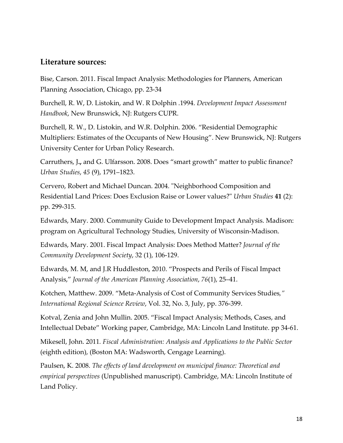#### **Literature sources:**

Bise, Carson. 2011. Fiscal Impact Analysis: Methodologies for Planners, American Planning Association, Chicago, pp. 23-34

Burchell, R. W, D. Listokin, and W. R Dolphin .1994. *Development Impact Assessment Handbook*, New Brunswick, NJ: Rutgers CUPR.

Burchell, R. W., D. Listokin, and W.R. Dolphin. 2006. "Residential Demographic Multipliers: Estimates of the Occupants of New Housing". New Brunswick, NJ: Rutgers University Center for Urban Policy Research.

Carruthers, J**.,** and G. Ulfarsson. 2008. Does "smart growth" matter to public finance? *Urban Studies*, *45* (9), 1791–1823.

Cervero, Robert and Michael Duncan. 2004. "Neighborhood Composition and Residential Land Prices: Does Exclusion Raise or Lower values?" *Urban Studies* **41** (2): pp. 299-315.

Edwards, Mary. 2000. Community Guide to Development Impact Analysis. Madison: program on Agricultural Technology Studies, University of Wisconsin-Madison.

Edwards, Mary. 2001. Fiscal Impact Analysis: Does Method Matter? *Journal of the Community Development Society*, 32 (1), 106-129.

Edwards, M. M, and J.R Huddleston, 2010. "Prospects and Perils of Fiscal Impact Analysis," *Journal of the American Planning Association*, *76*(1), 25–41.

Kotchen, Matthew. 2009. "Meta-Analysis of Cost of Community Services Studies*," International Regional Science Review*, Vol. 32, No. 3, July, pp. 376-399.

Kotval, Zenia and John Mullin. 2005. "Fiscal Impact Analysis; Methods, Cases, and Intellectual Debate" Working paper, Cambridge, MA: Lincoln Land Institute. pp 34-61.

Mikesell, John. 2011*. Fiscal Administration: Analysis and Applications to the Public Sector* (eighth edition), (Boston MA: Wadsworth, Cengage Learning).

Paulsen, K. 2008. *The effects of land development on municipal finance: Theoretical and empirical perspectives* (Unpublished manuscript). Cambridge, MA: Lincoln Institute of Land Policy.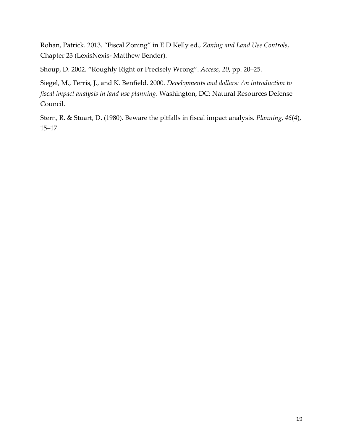Rohan, Patrick. 2013. "Fiscal Zoning" in E.D Kelly ed*., Zoning and Land Use Controls*, Chapter 23 (LexisNexis- Matthew Bender).

Shoup, D. 2002. "Roughly Right or Precisely Wrong". *Access, 20*, pp. 20–25.

Siegel, M., Terris, J., and K. Benfield. 2000. *Developments and dollars: An introduction to fiscal impact analysis in land use planning*. Washington, DC: Natural Resources Defense Council.

Stern, R. & Stuart, D. (1980). Beware the pitfalls in fiscal impact analysis. *Planning*, *46*(4), 15–17.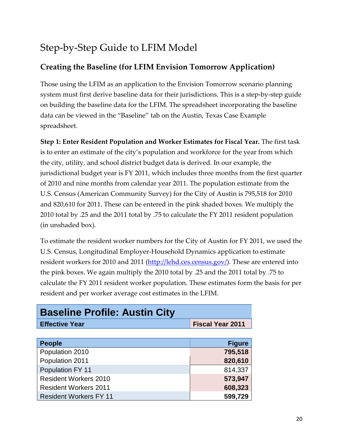# Step-by-Step Guide to LFIM Model

# **Creating the Baseline (for LFIM Envision Tomorrow Application)**

Those using the LFIM as an application to the Envision Tomorrow scenario planning system must first derive baseline data for their jurisdictions. This is a step-by-step guide on building the baseline data for the LFIM. The spreadsheet incorporating the baseline data can be viewed in the "Baseline" tab on the Austin, Texas Case Example spreadsheet.

**Step 1: Enter Resident Population and Worker Estimates for Fiscal Year.** The first task is to enter an estimate of the city's population and workforce for the year from which the city, utility, and school district budget data is derived. In our example, the jurisdictional budget year is FY 2011, which includes three months from the first quarter of 2010 and nine months from calendar year 2011. The population estimate from the U.S. Census (American Community Survey) for the City of Austin is 795,518 for 2010 and 820,610 for 2011. These can be entered in the pink shaded boxes. We multiply the 2010 total by .25 and the 2011 total by .75 to calculate the FY 2011 resident population (in unshaded box).

To estimate the resident worker numbers for the City of Austin for FY 2011, we used the U.S. Census, Longitudinal Employer-Household Dynamics application to estimate resident workers for 2010 and 2011 [\(http://lehd.ces.census.gov/\)](http://lehd.ces.census.gov/). These are entered into the pink boxes. We again multiply the 2010 total by .25 and the 2011 total by .75 to calculate the FY 2011 resident worker population. These estimates form the basis for per resident and per worker average cost estimates in the LFIM.

| <b>Baseline Profile: Austin City</b> |                         |  |  |  |
|--------------------------------------|-------------------------|--|--|--|
| <b>Effective Year</b>                | <b>Fiscal Year 2011</b> |  |  |  |
|                                      |                         |  |  |  |
| <b>People</b>                        | <b>Figure</b>           |  |  |  |
| Population 2010                      | 795,518                 |  |  |  |
| Population 2011                      | 820,610                 |  |  |  |
| Population FY 11                     | 814,337                 |  |  |  |
| <b>Resident Workers 2010</b>         | 573,947                 |  |  |  |
| <b>Resident Workers 2011</b>         | 608,323                 |  |  |  |
| <b>Resident Workers FY 11</b>        | 599,729                 |  |  |  |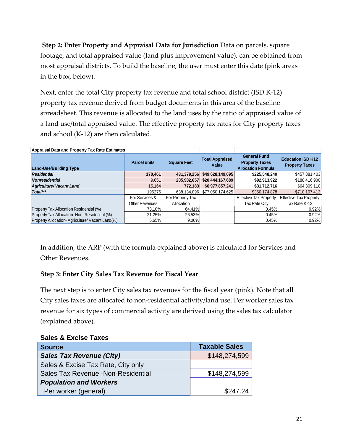**Step 2: Enter Property and Appraisal Data for Jurisdiction** Data on parcels, square footage, and total appraised value (land plus improvement value), can be obtained from most appraisal districts. To build the baseline, the user must enter this date (pink areas in the box, below).

Next, enter the total City property tax revenue and total school district (ISD K-12) property tax revenue derived from budget documents in this area of the baseline spreadsheet. This revenue is allocated to the land uses by the ratio of appraised value of a land use/total appraised value. The effective property tax rates for City property taxes and school (K-12) are then calculated.

| <b>Appraisal Data and Property Tax Rate Estimates</b> |                                           |                  |                                 |                                                                           |                                                   |
|-------------------------------------------------------|-------------------------------------------|------------------|---------------------------------|---------------------------------------------------------------------------|---------------------------------------------------|
| <b>Land-Use/Building Type</b>                         | <b>Parcel units</b><br><b>Square Feet</b> |                  | <b>Total Appraised</b><br>Value | <b>General Fund</b><br><b>Property Taxes</b><br><b>Allocation Formula</b> | <b>Education ISD K12</b><br><b>Property Taxes</b> |
| <b>Residential</b>                                    | 170,461                                   | 431,379,256      | \$49,628,149,695                | \$225,548,240                                                             | \$457,381,403                                     |
| <b>Nonresidential</b>                                 | 9,651                                     | 205,982,657      | \$20,444,167,689                | \$92,913,922                                                              | \$188,416,900                                     |
| <b>Agriculture/ Vacant Land</b>                       | 15.164                                    | 772.183          | \$6,977,857,241                 | \$31,712,716                                                              | \$64,309,110                                      |
| Total***                                              | 195276                                    | 638,134,096      | \$77,050,174,625                | \$350.174.878                                                             | \$710,107,413                                     |
|                                                       | For Services &                            | For Property Tax |                                 | <b>Effective Tax Property</b>                                             | <b>Effective Tax Property</b>                     |
|                                                       | Other Revenues                            | Allocation       |                                 | Tax Rate City                                                             | Tax Rate K-12                                     |
| Property Tax Allocation Residential (%)               | 73.10%                                    | 64.41%           |                                 | 0.45%                                                                     | 0.92%                                             |
| Property Tax Allocation - Non - Residential (%)       | 21.25%                                    | 26.53%           |                                 | 0.45%                                                                     | 0.92%                                             |
| Property Allocation-Agriculture/Vacant Land(%)        | 5.65%                                     | 9.06%            |                                 | 0.45%                                                                     | 0.92%                                             |

In addition, the ARP (with the formula explained above) is calculated for Services and Other Revenues.

## **Step 3: Enter City Sales Tax Revenue for Fiscal Year**

The next step is to enter City sales tax revenues for the fiscal year (pink). Note that all City sales taxes are allocated to non-residential activity/land use. Per worker sales tax revenue for six types of commercial activity are derived using the sales tax calculator (explained above).

| UUIUJ U LAUIJU TUAUJ                |                      |
|-------------------------------------|----------------------|
| <b>Source</b>                       | <b>Taxable Sales</b> |
| <b>Sales Tax Revenue (City)</b>     | \$148,274,599        |
| Sales & Excise Tax Rate, City only  |                      |
| Sales Tax Revenue - Non-Residential | \$148,274,599        |
| <b>Population and Workers</b>       |                      |
| Per worker (general)                | \$247.24             |

#### **Sales & Excise Taxes**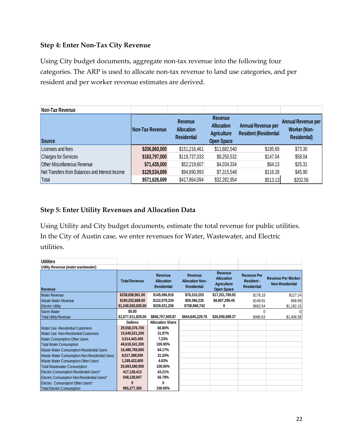#### **Step 4: Enter Non-Tax City Revenue**

Using City budget documents, aggregate non-tax revenue into the following four categories. The ARP is used to allocate non-tax revenue to land use categories, and per resident and per worker revenue estimates are derived.

| Non-Tax Revenue                                 |                 |                                                           |                                                                                |                                                           |                                                                         |
|-------------------------------------------------|-----------------|-----------------------------------------------------------|--------------------------------------------------------------------------------|-----------------------------------------------------------|-------------------------------------------------------------------------|
| <b>Source</b>                                   | Non-Tax Revenue | <b>Revenue</b><br><b>Allocation</b><br><b>Residential</b> | <b>Revenue</b><br><b>Allocation</b><br><b>Agriculture</b><br><b>Open Space</b> | <b>Annual Revenue per</b><br><b>Resident (Residential</b> | <b>Annual Revenue per</b><br><b>Worker (Non-</b><br><b>Residential)</b> |
| Licenses and fees                               | \$206,860,000   | \$151,216,461                                             | \$11,682,540                                                                   | \$185.69                                                  | \$73.30                                                                 |
| <b>Charges for Services</b>                     | \$163,797,000   | \$119,737,033                                             | \$9,250,532                                                                    | \$147.04                                                  | \$58.04                                                                 |
| <b>Other Miscellaneous Revenue</b>              | \$71,435,000    | \$52,219,607                                              | \$4,034,334                                                                    | \$64.13                                                   | \$25.31                                                                 |
| Net Transfers from Balances and Interest Income | \$129,534,699   | \$94,690,993                                              | \$7,315,548                                                                    | \$116.28                                                  | \$45.90                                                                 |
| Total                                           | \$571,626,699   | \$417,864,094                                             | \$32,282,954                                                                   | \$513.13                                                  | \$202.56                                                                |

#### **Step 5: Enter Utility Revenues and Allocation Data**

Using Utility and City budget documents, estimate the total revenue for public utilities. In the City of Austin case, we enter revenues for Water, Wastewater, and Electric utilities.

| <b>Utilities</b>                              |                      |                                                    |                                                                |                                                                         |                                                        |                                                      |
|-----------------------------------------------|----------------------|----------------------------------------------------|----------------------------------------------------------------|-------------------------------------------------------------------------|--------------------------------------------------------|------------------------------------------------------|
| Utility Revenue (water wastewater)            |                      |                                                    |                                                                |                                                                         |                                                        |                                                      |
| <b>Revenue</b>                                | <b>Total Revenue</b> | Revenue<br><b>Allocation</b><br><b>Residential</b> | <b>Revenue</b><br><b>Allocation Non-</b><br><b>Residential</b> | Revenue<br><b>Allocation</b><br><b>Agriculture</b><br><b>Open Space</b> | <b>Revenue Per</b><br>Resident -<br><b>Residential</b> | <b>Revenue Per Worker-</b><br><b>Non-Residential</b> |
| <b>Water Revenue</b>                          | \$238,658,961.00     | \$145,096,918                                      | \$76,310,253                                                   | \$17,251,789.92                                                         | \$178.18                                               | \$127.24                                             |
| Waste Water Revenue                           | \$190,252,868.00     | \$122,079,334                                      | \$59,366,235                                                   | \$8,807,299.45                                                          | \$149.91                                               | \$98.99                                              |
| <b>Electric Utility</b>                       | \$1,248,500,000.00   | \$539,531,258                                      | \$708,968,742                                                  | 0                                                                       | \$662.54                                               | \$1,182.15                                           |
| <b>Storm Water</b>                            | \$0.00               |                                                    |                                                                |                                                                         |                                                        |                                                      |
| <b>Total Utility Revenue</b>                  | \$1,677,411,829.00   | \$806,707,509.87                                   | \$844,645,229.76                                               | \$26,059,089.37                                                         | \$990.63                                               | \$1,408.38                                           |
|                                               | Gallons              | <b>Allocation Share</b>                            |                                                                |                                                                         |                                                        |                                                      |
| Water Use - Residential Customers             | 29,558,376,700       | 60.80%                                             |                                                                |                                                                         |                                                        |                                                      |
| Water Use - Non-Residential Customers         | 15,545,521,200       | 31.97%                                             |                                                                |                                                                         |                                                        |                                                      |
| <b>Water Consumption Other Users</b>          | 3,514,443,400        | 7.23%                                              |                                                                |                                                                         |                                                        |                                                      |
| <b>Total Water Consumption</b>                | 48,618,341,300       | 100.00%                                            |                                                                |                                                                         |                                                        |                                                      |
| Waste Water Consumption Residential Users     | 16,486,769,800       | 64.17%                                             |                                                                |                                                                         |                                                        |                                                      |
| Waste Water Consumption Non-Residential Users | 8,017,388,500        | 31.20%                                             |                                                                |                                                                         |                                                        |                                                      |
| Waste Water Consumption Other Users           | 1,189,422,600        | 4.63%                                              |                                                                |                                                                         |                                                        |                                                      |
| <b>Total Wastewater Consumption</b>           | 25,693,580,900       | 100.00%                                            |                                                                |                                                                         |                                                        |                                                      |
| Electric Consumption Residential Users*       | 417,138,413          | 43.21%                                             |                                                                |                                                                         |                                                        |                                                      |
| Electric Consumption Non-Residential Users*   | 548,138,947          | 56.79%                                             |                                                                |                                                                         |                                                        |                                                      |
| Electric Consumption Other Users*             |                      |                                                    |                                                                |                                                                         |                                                        |                                                      |
| <b>Total Electric Consumption</b>             | 965,277,360          | 100.00%                                            |                                                                |                                                                         |                                                        |                                                      |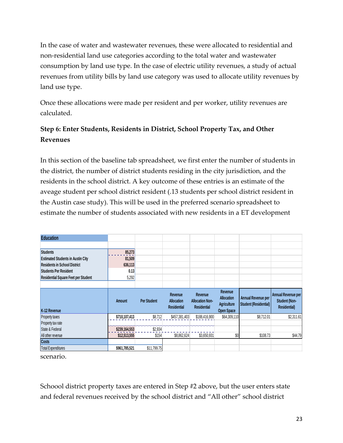In the case of water and wastewater revenues, these were allocated to residential and non-residential land use categories according to the total water and wastewater consumption by land use type. In the case of electric utility revenues, a study of actual revenues from utility bills by land use category was used to allocate utility revenues by land use type.

Once these allocations were made per resident and per worker, utility revenues are calculated.

# **Step 6: Enter Students, Residents in District, School Property Tax, and Other Revenues**

In this section of the baseline tab spreadsheet, we first enter the number of students in the district, the number of district students residing in the city jurisdiction, and the residents in the school district. A key outcome of these entries is an estimate of the aveage student per school district resident (.13 students per school district resident in the Austin case study). This will be used in the preferred scenario spreadsheet to estimate the number of students associated with new residents in a ET development

| <b>Education</b>                           |               |                    |                                                    |                                                         |                                                                         |                                             |                                                            |
|--------------------------------------------|---------------|--------------------|----------------------------------------------------|---------------------------------------------------------|-------------------------------------------------------------------------|---------------------------------------------|------------------------------------------------------------|
|                                            |               |                    |                                                    |                                                         |                                                                         |                                             |                                                            |
| <b>Students</b>                            | 85,273        |                    |                                                    |                                                         |                                                                         |                                             |                                                            |
| <b>Estimated Students in Austin City</b>   | 81,509        |                    |                                                    |                                                         |                                                                         |                                             |                                                            |
| <b>Residents in School District</b>        | 636,113       |                    |                                                    |                                                         |                                                                         |                                             |                                                            |
| <b>Students Per Resident</b>               | 0.13          |                    |                                                    |                                                         |                                                                         |                                             |                                                            |
| <b>Residential Square Feet per Student</b> | 5,292         |                    |                                                    |                                                         |                                                                         |                                             |                                                            |
|                                            |               |                    |                                                    |                                                         |                                                                         |                                             |                                                            |
| K-12 Revenue                               | <b>Amount</b> | <b>Per Student</b> | Revenue<br><b>Allocation</b><br><b>Residential</b> | Revenue<br><b>Allocation Non-</b><br><b>Residential</b> | Revenue<br><b>Allocation</b><br><b>Agriculture</b><br><b>Open Space</b> | Annual Revenue per<br>Student (Residential) | Annual Revenue per<br>Student (Non-<br><b>Residential)</b> |
| Property taxes                             | \$710,107,413 | \$8,712            | \$457,381,403                                      | \$188,416,900                                           | \$64,309,110                                                            | \$8,712.01                                  | \$2,311.61                                                 |
| Property tax rate                          |               |                    |                                                    |                                                         |                                                                         |                                             |                                                            |
| State & Federal                            | \$239,164,553 | \$2,934            |                                                    |                                                         |                                                                         |                                             |                                                            |
| All other revenue                          | \$12,513,555  | \$154              | \$8,862,624                                        | \$3,650,931                                             | \$0                                                                     | \$108.73                                    | \$44.79                                                    |
| <b>Costs</b>                               |               |                    |                                                    |                                                         |                                                                         |                                             |                                                            |
| <b>Total Expenditures</b>                  | \$961,785,521 | \$11,799.75        |                                                    |                                                         |                                                                         |                                             |                                                            |

scenario.

Schoool district property taxes are entered in Step #2 above, but the user enters state and federal revenues received by the school district and "All other" school district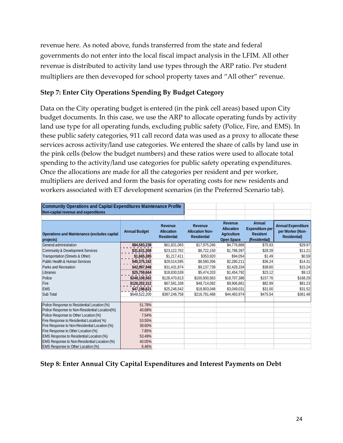revenue here. As noted above, funds transferred from the state and federal governments do not enter into the local fiscal impact analysis in the LFIM. All other revenue is distributed to activity land use types through the ARP ratio. Per student multipliers are then devevoped for school property taxes and "All other" revenue.

#### **Step 7: Enter City Operations Spending By Budget Category**

Data on the City operating budget is entered (in the pink cell areas) based upon City budget documents. In this case, we use the ARP to allocate operating funds by activity land use type for all operating funds, excluding public safety (Police, Fire, and EMS). In these public safety categories, 911 call record data was used as a proxy to allocate these services across activity/land use categories. We entered the share of calls by land use in the pink cells (below the budget numbers) and these ratios were used to allocate total spending to the activity/land use categories for public safety operating expenditures. Once the allocations are made for all the categories per resident and per worker, multipliers are derived and form the basis for operating costs for new residents and workers associated with ET development scenarios (in the Preferred Scenario tab).

| <b>Community Operations and Capital Expenditures Maintenance Profile</b> |                      |                                                    |                                                         |                                                                         |                                                                      |                                                                      |
|--------------------------------------------------------------------------|----------------------|----------------------------------------------------|---------------------------------------------------------|-------------------------------------------------------------------------|----------------------------------------------------------------------|----------------------------------------------------------------------|
| Non-capital revenue and expenditures                                     |                      |                                                    |                                                         |                                                                         |                                                                      |                                                                      |
|                                                                          |                      |                                                    |                                                         |                                                                         |                                                                      |                                                                      |
| Operations and Maintenance (excludes capital<br>projects)                | <b>Annual Budget</b> | Revenue<br><b>Allocation</b><br><b>Residential</b> | Revenue<br><b>Allocation Non-</b><br><b>Residential</b> | Revenue<br><b>Allocation</b><br><b>Agriculture</b><br><b>Open Space</b> | Annual<br><b>Expenditure per</b><br><b>Resident</b><br>(Residential) | <b>Annual Expenditure</b><br>per Worker (Non-<br><b>Residential)</b> |
| General administration                                                   | \$84,583,238         | \$61,831,083                                       | \$17,975,266                                            | \$4,776,888                                                             | \$75.93                                                              | \$29.97                                                              |
| <b>Community &amp; Development Services</b>                              | \$31,631,308         | \$23,122,762                                       | \$6,722,150                                             | \$1,786,397                                                             | \$28.39                                                              | \$11.21                                                              |
| Transportation (Streets & Other)                                         | \$1,665,385          | \$1,217,411                                        | \$353.920                                               | \$94.054                                                                | \$1.49                                                               | \$0.59                                                               |
| Public Health & Human Services                                           | \$40,375,162         | \$29,514,595                                       | \$8,580,356                                             | \$2,280,211                                                             | \$36.24                                                              | \$14.31                                                              |
| Parks and Recreation                                                     | \$42,997,948         | \$31,431,874                                       | \$9,137,739                                             | \$2,428,334                                                             | \$38.60                                                              | \$15.24                                                              |
| Libraries                                                                | \$25,759,664         | \$18,830,539                                       | \$5,474,333                                             | \$1,454,792                                                             | \$23.12                                                              | \$9.13                                                               |
| Police                                                                   | \$248,108,562        | \$128,470,613                                      | \$100,930,563                                           | \$18,707,386                                                            | \$157.76                                                             | \$168.29                                                             |
| Fire                                                                     | \$126,202,312        | \$67,581,338                                       | \$48,714,092                                            | \$9,906,881                                                             | \$82.99                                                              | \$81.23                                                              |
| <b>EMS</b>                                                               | \$47,198,621         | \$25,246,542                                       | \$18,903,048                                            | \$3,049,031                                                             | \$31.00                                                              | \$31.52                                                              |
| Sub Total                                                                | \$648,522,200        | \$387,246,758                                      | \$216,791,468                                           | \$44,483,974                                                            | \$475.54                                                             | \$361.48                                                             |
|                                                                          |                      |                                                    |                                                         |                                                                         |                                                                      |                                                                      |
| Police Response to Residential Location (%)                              | 51.78%               |                                                    |                                                         |                                                                         |                                                                      |                                                                      |
| Police Response to Non-Residential Location(%)                           | 40.68%               |                                                    |                                                         |                                                                         |                                                                      |                                                                      |
| Police Response to Other Location (%)                                    | 7.54%                |                                                    |                                                         |                                                                         |                                                                      |                                                                      |
| Fire Response to Residential Location(%)                                 | 53.55%               |                                                    |                                                         |                                                                         |                                                                      |                                                                      |
| Fire Response to Non-Residential Location (%)                            | 38.60%               |                                                    |                                                         |                                                                         |                                                                      |                                                                      |
| Fire Response to Other Location (%)                                      | 7.85%                |                                                    |                                                         |                                                                         |                                                                      |                                                                      |
| EMS Response to Residential Location (%)                                 | 53.49%               |                                                    |                                                         |                                                                         |                                                                      |                                                                      |
| EMS Response to Non-Residential Location (%)                             | 40.05%               |                                                    |                                                         |                                                                         |                                                                      |                                                                      |
| EMS Response to Other Location (%)                                       | 6.46%                |                                                    |                                                         |                                                                         |                                                                      |                                                                      |

#### **Step 8: Enter Annual City Capital Expenditures and Interest Payments on Debt**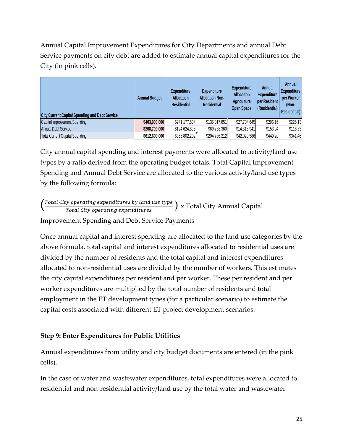Annual Capital Improvement Expenditures for City Departments and annual Debt Service payments on city debt are added to estimate annual capital expenditures for the City (in pink cells).

| <b>City Current Capital Spending and Debt Service</b> | <b>Annual Budget</b> | <b>Expenditure</b><br><b>Allocation</b><br><b>Residential</b> | <b>Expenditure</b><br><b>Allocation Non-</b><br><b>Residential</b> | <b>Expenditure</b><br><b>Allocation</b><br><b>Agriculture</b><br><b>Open Space</b> | Annual<br><b>Expenditure</b><br>per Resident<br>(Residential) | Annual<br><b>Expenditure</b><br>per Worker<br>(Non-<br><b>Residential</b> ) |
|-------------------------------------------------------|----------------------|---------------------------------------------------------------|--------------------------------------------------------------------|------------------------------------------------------------------------------------|---------------------------------------------------------------|-----------------------------------------------------------------------------|
| <b>Capital Improvement Spending</b>                   | \$403,900,000        | \$241,177,504                                                 | \$135,017,851                                                      | \$27,704,645                                                                       | \$296.16                                                      | \$225.13                                                                    |
| <b>Annual Debt Service</b>                            | \$208,709,000        | \$124,624,698                                                 | \$69,768,360                                                       | \$14,315,941                                                                       | \$153.04                                                      | \$116.33                                                                    |
| <b>Total Current Capital Spending</b>                 | \$612,609,000        | \$365,802,202                                                 | \$204,786,212                                                      | \$42,020,586                                                                       | \$449.20                                                      | \$341.46                                                                    |

City annual capital spending and interest payments were allocated to activity/land use types by a ratio derived from the operating budget totals. Total Capital Improvement Spending and Annual Debt Service are allocated to the various activity/land use types by the following formula:

 $\left(\frac{\text{Total City operating expenditures by land use type}}{\text{Total City operating expenditures}}\right)$  x Total City Annual Capital

Improvement Spending and Debt Service Payments

Once annual capital and interest spending are allocated to the land use categories by the above formula, total capital and interest expenditures allocated to residential uses are divided by the number of residents and the total capital and interest expenditures allocated to non-residential uses are divided by the number of workers. This estimates the city capital expenditures per resident and per worker. These per resident and per worker expenditures are multiplied by the total number of residents and total employment in the ET development types (for a particular scenario) to estimate the capital costs associated with different ET project development scenarios.

#### **Step 9: Enter Expenditures for Public Utilities**

Annual expenditures from utility and city budget documents are entered (in the pink cells).

In the case of water and wastewater expenditures, total expenditures were allocated to residential and non-residential activity/land use by the total water and wastewater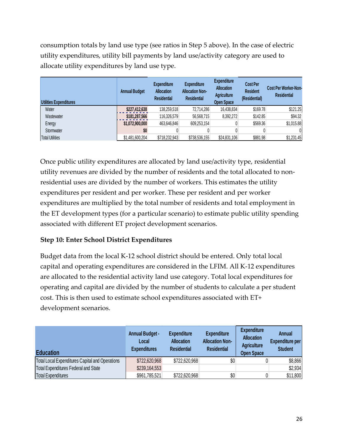consumption totals by land use type (see ratios in Step 5 above). In the case of electric utility expenditures, utility bill payments by land use/activity category are used to allocate utility expenditures by land use type.

| Utilities Expenditures | <b>Annual Budget</b> | <b>Expenditure</b><br><b>Allocation</b><br><b>Residential</b> | <b>Expenditure</b><br><b>Allocation Non-</b><br><b>Residential</b> | <b>Expenditure</b><br><b>Allocation</b><br><b>Agriculture</b><br><b>Open Space</b> | <b>Cost Per</b><br><b>Resident</b><br>(Residential) | <b>Cost Per Worker-Non-</b><br><b>Residential</b> |
|------------------------|----------------------|---------------------------------------------------------------|--------------------------------------------------------------------|------------------------------------------------------------------------------------|-----------------------------------------------------|---------------------------------------------------|
| Water                  | \$227,412,638        | 138.259.518                                                   | 72.714.286                                                         | 16,438,834                                                                         | \$169.78                                            | \$121.25                                          |
| Wastewater             | \$181,287,566        | 116,326,579                                                   | 56,568,715                                                         | 8,392,272                                                                          | \$142.85                                            | \$94.32                                           |
| Energy                 | \$1,072,900,000      | 463,646,846                                                   | 609,253,154                                                        |                                                                                    | \$569.36                                            | \$1,015.88                                        |
| Stormwater             | \$0                  |                                                               |                                                                    |                                                                                    |                                                     | 01                                                |
| <b>Total Utilities</b> | \$1,481,600,204      | \$718,232,943                                                 | \$738,536,155                                                      | \$24,831,106                                                                       | \$881.98                                            | \$1,231.45                                        |

Once public utility expenditures are allocated by land use/activity type, residential utility revenues are divided by the number of residents and the total allocated to nonresidential uses are divided by the number of workers. This estimates the utility expenditures per resident and per worker. These per resident and per worker expenditures are multiplied by the total number of residents and total employment in the ET development types (for a particular scenario) to estimate public utility spending associated with different ET project development scenarios.

## **Step 10: Enter School District Expenditures**

Budget data from the local K-12 school district should be entered. Only total local capital and operating expenditures are considered in the LFIM. All K-12 expenditures are allocated to the residential activity land use category. Total local expenditures for operating and capital are divided by the number of students to calculate a per student cost. This is then used to estimate school expenditures associated with ET+ development scenarios.

| <b>Education</b>                                       | <b>Annual Budget -</b><br>Local<br><b>Expenditures</b> | <b>Expenditure</b><br><b>Allocation</b><br><b>Residential</b> | <b>Expenditure</b><br><b>Allocation Non-</b><br><b>Residential</b> | <b>Expenditure</b><br><b>Allocation</b><br><b>Agriculture</b><br><b>Open Space</b> | <b>Annual</b><br><b>Expenditure per</b><br><b>Student</b> |
|--------------------------------------------------------|--------------------------------------------------------|---------------------------------------------------------------|--------------------------------------------------------------------|------------------------------------------------------------------------------------|-----------------------------------------------------------|
| <b>Total Local Expenditures Capital and Operations</b> | \$722,620,968                                          | \$722,620,968                                                 | \$0                                                                |                                                                                    | \$8,866                                                   |
| Total Expenditures Federal and State                   | \$239,164,553                                          |                                                               |                                                                    |                                                                                    | \$2,934                                                   |
| Total Expenditures                                     | \$961,785,521                                          | \$722,620,968                                                 | \$0                                                                |                                                                                    | \$11,800                                                  |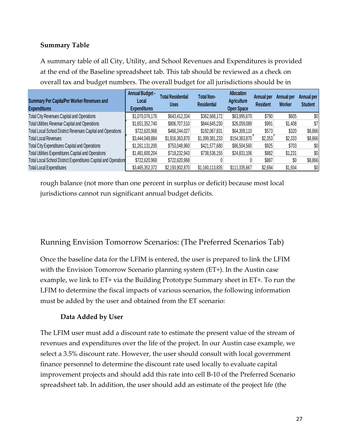## **Summary Table**

A summary table of all City, Utility, and School Revenues and Expenditures is provided at the end of the Baseline spreadsheet tab. This tab should be reviewed as a check on overall tax and budget numbers. The overall budget for all jurisdictions should be in

| <b>Summary Per Capita/Per Worker Revenues and</b><br><b>Expenditures</b> | <b>Annual Budget -</b><br>Local<br><b>Expenditures</b> | <b>Total Residential</b><br>Uses | Total Non-<br><b>Residential</b> | <b>Allocation</b><br><b>Agriculture</b><br><b>Open Space</b> | Annual per<br><b>Resident</b> | Annual per<br>Worker | Annual per<br><b>Student</b> |
|--------------------------------------------------------------------------|--------------------------------------------------------|----------------------------------|----------------------------------|--------------------------------------------------------------|-------------------------------|----------------------|------------------------------|
| <b>Total City Revenues Capital and Operations</b>                        | \$1,070,076,176                                        | \$643,412,334                    | \$362,668,172                    | \$63,995,670                                                 | \$790                         | \$605                | \$0                          |
| Total Utilities Revenue Capital and Operations                           | \$1,651,352,740                                        | \$806,707,510                    | \$844,645,230                    | \$26,059,089                                                 | \$991                         | \$1,408              | \$7                          |
| Total Local School District Revenues Capital and Operations              | \$722,620,968                                          | \$466,244,027                    | \$192,067,831                    | \$64,309,110                                                 | \$573                         | \$320                | \$8,866                      |
| <b>Total Local Revenues</b>                                              | \$3,444,049,884                                        | \$1,916,363,870                  | \$1,399,381,233                  | \$154,363,870                                                | \$2,353                       | \$2,333              | \$8,866                      |
| <b>Total City Expenditures Capital and Operations</b>                    | \$1,261,131,200                                        | \$753,048,960                    | \$421,577,680                    | \$86,504,560                                                 | \$925                         | \$703                | \$0                          |
| Total Utilities Expenditures Capital and Operations                      | \$1,481,600,204                                        | \$718,232,943                    | \$738,536,155                    | \$24,831,106                                                 | \$882                         | \$1,231              | \$0                          |
| Total Local School District Expenditures Capital and Operations          | \$722,620,968                                          | \$722,620,968                    |                                  |                                                              | \$887                         | \$0                  | \$8,866                      |
| <b>Total Local Expenditures</b>                                          | \$3,465,352,372                                        | \$2,193,902,870                  | \$1,160,113,835                  | \$111,335,667                                                | \$2,694                       | \$1,934              | \$0                          |

rough balance (not more than one percent in surplus or deficit) because most local jurisdictions cannot run significant annual budget deficits.

# Running Envision Tomorrow Scenarios: (The Preferred Scenarios Tab)

Once the baseline data for the LFIM is entered, the user is prepared to link the LFIM with the Envision Tomorrow Scenario planning system (ET+). In the Austin case example, we link to ET+ via the Building Prototype Summary sheet in ET+. To run the LFIM to determine the fiscal impacts of various scenarios, the following information must be added by the user and obtained from the ET scenario:

#### **Data Added by User**

The LFIM user must add a discount rate to estimate the present value of the stream of revenues and expenditures over the life of the project. In our Austin case example, we select a 3.5% discount rate. However, the user should consult with local government finance personnel to determine the discount rate used locally to evaluate capital improvement projects and should add this rate into cell B-10 of the Preferred Scenario spreadsheet tab. In addition, the user should add an estimate of the project life (the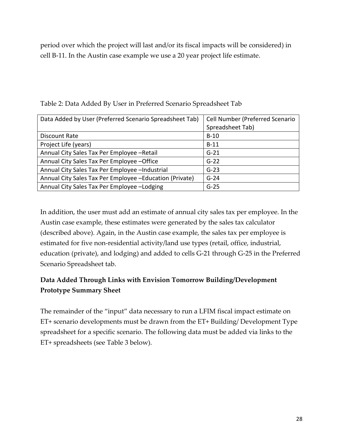period over which the project will last and/or its fiscal impacts will be considered) in cell B-11. In the Austin case example we use a 20 year project life estimate.

| Data Added by User (Preferred Scenario Spreadsheet Tab)  | Cell Number (Preferred Scenario |
|----------------------------------------------------------|---------------------------------|
|                                                          | Spreadsheet Tab)                |
| Discount Rate                                            | $B-10$                          |
| Project Life (years)                                     | $B-11$                          |
| Annual City Sales Tax Per Employee - Retail              | $G-21$                          |
| Annual City Sales Tax Per Employee - Office              | $G-22$                          |
| Annual City Sales Tax Per Employee -Industrial           | $G-23$                          |
| Annual City Sales Tax Per Employee - Education (Private) | $G-24$                          |
| Annual City Sales Tax Per Employee - Lodging             | $G-25$                          |

Table 2: Data Added By User in Preferred Scenario Spreadsheet Tab

In addition, the user must add an estimate of annual city sales tax per employee. In the Austin case example, these estimates were generated by the sales tax calculator (described above). Again, in the Austin case example, the sales tax per employee is estimated for five non-residential activity/land use types (retail, office, industrial, education (private), and lodging) and added to cells G-21 through G-25 in the Preferred Scenario Spreadsheet tab.

# **Data Added Through Links with Envision Tomorrow Building/Development Prototype Summary Sheet**

The remainder of the "input" data necessary to run a LFIM fiscal impact estimate on ET+ scenario developments must be drawn from the ET+ Building/ Development Type spreadsheet for a specific scenario. The following data must be added via links to the ET+ spreadsheets (see Table 3 below).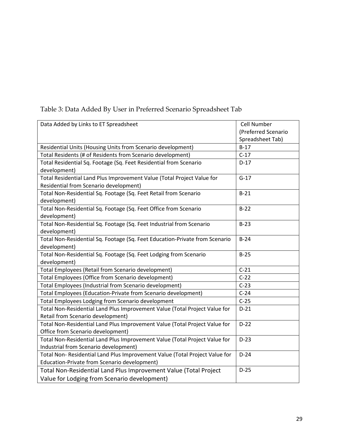| Data Added by Links to ET Spreadsheet                                       | Cell Number         |
|-----------------------------------------------------------------------------|---------------------|
|                                                                             | (Preferred Scenario |
|                                                                             | Spreadsheet Tab)    |
| Residential Units (Housing Units from Scenario development)                 | $B-17$              |
| Total Residents (# of Residents from Scenario development)                  | $C-17$              |
| Total Residential Sq. Footage (Sq. Feet Residential from Scenario           | $D-17$              |
| development)                                                                |                     |
| Total Residential Land Plus Improvement Value (Total Project Value for      | $G-17$              |
| Residential from Scenario development)                                      |                     |
| Total Non-Residential Sq. Footage (Sq. Feet Retail from Scenario            | $B-21$              |
| development)                                                                |                     |
| Total Non-Residential Sq. Footage (Sq. Feet Office from Scenario            | $B-22$              |
| development)                                                                |                     |
| Total Non-Residential Sq. Footage (Sq. Feet Industrial from Scenario        | $B-23$              |
| development)                                                                |                     |
| Total Non-Residential Sq. Footage (Sq. Feet Education-Private from Scenario | $B-24$              |
| development)                                                                |                     |
| Total Non-Residential Sq. Footage (Sq. Feet Lodging from Scenario           | $B-25$              |
| development)                                                                |                     |
| Total Employees (Retail from Scenario development)                          | $C-21$              |
| Total Employees (Office from Scenario development)                          | $C-22$              |
| Total Employees (Industrial from Scenario development)                      | $C-23$              |
| Total Employees (Education-Private from Scenario development)               | $C-24$              |
| Total Employees Lodging from Scenario development                           | $C-25$              |
| Total Non-Residential Land Plus Improvement Value (Total Project Value for  | $D-21$              |
| Retail from Scenario development)                                           |                     |
| Total Non-Residential Land Plus Improvement Value (Total Project Value for  | $D-22$              |
| Office from Scenario development)                                           |                     |
| Total Non-Residential Land Plus Improvement Value (Total Project Value for  | $D-23$              |
| Industrial from Scenario development)                                       |                     |
| Total Non- Residential Land Plus Improvement Value (Total Project Value for | $D-24$              |
| Education-Private from Scenario development)                                |                     |
| Total Non-Residential Land Plus Improvement Value (Total Project            | $D-25$              |
| Value for Lodging from Scenario development)                                |                     |

# Table 3: Data Added By User in Preferred Scenario Spreadsheet Tab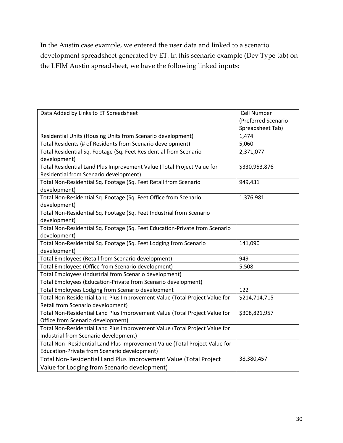In the Austin case example, we entered the user data and linked to a scenario development spreadsheet generated by ET. In this scenario example (Dev Type tab) on the LFIM Austin spreadsheet, we have the following linked inputs:

| Data Added by Links to ET Spreadsheet                                       | <b>Cell Number</b>  |
|-----------------------------------------------------------------------------|---------------------|
|                                                                             | (Preferred Scenario |
|                                                                             | Spreadsheet Tab)    |
| Residential Units (Housing Units from Scenario development)                 | 1,474               |
| Total Residents (# of Residents from Scenario development)                  | 5,060               |
| Total Residential Sq. Footage (Sq. Feet Residential from Scenario           | 2,371,077           |
| development)                                                                |                     |
| Total Residential Land Plus Improvement Value (Total Project Value for      | \$330,953,876       |
| Residential from Scenario development)                                      |                     |
| Total Non-Residential Sq. Footage (Sq. Feet Retail from Scenario            | 949,431             |
| development)                                                                |                     |
| Total Non-Residential Sq. Footage (Sq. Feet Office from Scenario            | 1,376,981           |
| development)                                                                |                     |
| Total Non-Residential Sq. Footage (Sq. Feet Industrial from Scenario        |                     |
| development)                                                                |                     |
| Total Non-Residential Sq. Footage (Sq. Feet Education-Private from Scenario |                     |
| development)                                                                |                     |
| Total Non-Residential Sq. Footage (Sq. Feet Lodging from Scenario           | 141,090             |
| development)                                                                |                     |
| Total Employees (Retail from Scenario development)                          | 949                 |
| Total Employees (Office from Scenario development)                          | 5,508               |
| Total Employees (Industrial from Scenario development)                      |                     |
| Total Employees (Education-Private from Scenario development)               |                     |
| Total Employees Lodging from Scenario development                           | 122                 |
| Total Non-Residential Land Plus Improvement Value (Total Project Value for  | \$214,714,715       |
| Retail from Scenario development)                                           |                     |
| Total Non-Residential Land Plus Improvement Value (Total Project Value for  | \$308,821,957       |
| Office from Scenario development)                                           |                     |
| Total Non-Residential Land Plus Improvement Value (Total Project Value for  |                     |
| Industrial from Scenario development)                                       |                     |
| Total Non- Residential Land Plus Improvement Value (Total Project Value for |                     |
| Education-Private from Scenario development)                                |                     |
| Total Non-Residential Land Plus Improvement Value (Total Project            | 38,380,457          |
| Value for Lodging from Scenario development)                                |                     |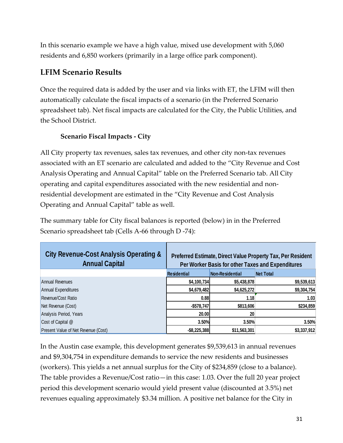In this scenario example we have a high value, mixed use development with 5,060 residents and 6,850 workers (primarily in a large office park component).

# **LFIM Scenario Results**

Once the required data is added by the user and via links with ET, the LFIM will then automatically calculate the fiscal impacts of a scenario (in the Preferred Scenario spreadsheet tab). Net fiscal impacts are calculated for the City, the Public Utilities, and the School District.

# **Scenario Fiscal Impacts - City**

All City property tax revenues, sales tax revenues, and other city non-tax revenues associated with an ET scenario are calculated and added to the "City Revenue and Cost Analysis Operating and Annual Capital" table on the Preferred Scenario tab. All City operating and capital expenditures associated with the new residential and nonresidential development are estimated in the "City Revenue and Cost Analysis Operating and Annual Capital" table as well.

The summary table for City fiscal balances is reported (below) in in the Preferred Scenario spreadsheet tab (Cells A-66 through D -74):

| <b>City Revenue-Cost Analysis Operating &amp;</b><br><b>Annual Capital</b> | Preferred Estimate, Direct Value Property Tax, Per Resident<br>Per Worker Basis for other Taxes and Expenditures |                 |                  |
|----------------------------------------------------------------------------|------------------------------------------------------------------------------------------------------------------|-----------------|------------------|
|                                                                            | <b>Residential</b>                                                                                               | Non-Residential | <b>Net Total</b> |
| Annual Revenues                                                            | \$4,100,734                                                                                                      | \$5,438,878     | \$9,539,613      |
| Annual Expenditures                                                        | \$4,679,482                                                                                                      | \$4,625,272     | \$9,304,754      |
| Revenue/Cost Ratio                                                         | 0.88                                                                                                             | 1.18            | 1.03             |
| Net Revenue (Cost)                                                         | $-$578,747$                                                                                                      | \$813,606       | \$234,859        |
| Analysis Period, Years                                                     | 20.00                                                                                                            | 20              |                  |
| Cost of Capital @                                                          | 3.50%                                                                                                            | 3.50%           | 3.50%            |
| Present Value of Net Revenue (Cost)                                        | $-$ \$8,225,388                                                                                                  | \$11,563,301    | \$3,337,912      |

In the Austin case example, this development generates \$9,539,613 in annual revenues and \$9,304,754 in expenditure demands to service the new residents and businesses (workers). This yields a net annual surplus for the City of \$234,859 (close to a balance). The table provides a Revenue/Cost ratio—in this case: 1.03. Over the full 20 year project period this development scenario would yield present value (discounted at 3.5%) net revenues equaling approximately \$3.34 million. A positive net balance for the City in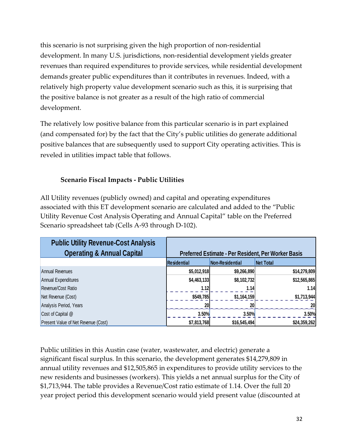this scenario is not surprising given the high proportion of non-residential development. In many U.S. jurisdictions, non-residential development yields greater revenues than required expenditures to provide services, while residential development demands greater public expenditures than it contributes in revenues. Indeed, with a relatively high property value development scenario such as this, it is surprising that the positive balance is not greater as a result of the high ratio of commercial development.

The relatively low positive balance from this particular scenario is in part explained (and compensated for) by the fact that the City's public utilities do generate additional positive balances that are subsequently used to support City operating activities. This is reveled in utilities impact table that follows.

# **Scenario Fiscal Impacts - Public Utilities**

All Utility revenues (publicly owned) and capital and operating expenditures associated with this ET development scenario are calculated and added to the "Public Utility Revenue Cost Analysis Operating and Annual Capital" table on the Preferred Scenario spreadsheet tab (Cells A-93 through D-102).

| <b>Public Utility Revenue-Cost Analysis</b><br><b>Operating &amp; Annual Capital</b> | Preferred Estimate - Per Resident, Per Worker Basis |                 |                  |
|--------------------------------------------------------------------------------------|-----------------------------------------------------|-----------------|------------------|
|                                                                                      | <b>Residential</b>                                  | Non-Residential | <b>Net Total</b> |
| Annual Revenues                                                                      | \$5,012,918                                         | \$9,266,890     | \$14,279,809     |
| Annual Expenditures                                                                  | \$4,463,133                                         | \$8,102,732     | \$12,565,865     |
| Revenue/Cost Ratio                                                                   | 1.12                                                | 1.14            | 1.14             |
| Net Revenue (Cost)                                                                   | \$549,785                                           | \$1,164,159     | \$1,713,944      |
| Analysis Period, Years                                                               | <b>20</b>                                           | 20 <sup>1</sup> | <b>20</b>        |
| Cost of Capital @                                                                    | 3.50%                                               | 3.50%           | 3.50%            |
| Present Value of Net Revenue (Cost)                                                  | \$7,813,768                                         | \$16,545,494    | \$24,359,262     |

Public utilities in this Austin case (water, wastewater, and electric) generate a significant fiscal surplus. In this scenario, the development generates \$14,279,809 in annual utility revenues and \$12,505,865 in expenditures to provide utility services to the new residents and businesses (workers). This yields a net annual surplus for the City of \$1,713,944. The table provides a Revenue/Cost ratio estimate of 1.14. Over the full 20 year project period this development scenario would yield present value (discounted at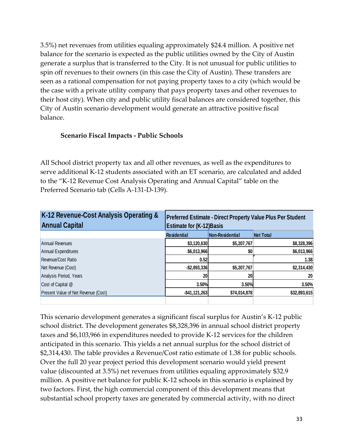3.5%) net revenues from utilities equaling approximately \$24.4 million. A positive net balance for the scenario is expected as the public utilities owned by the City of Austin generate a surplus that is transferred to the City. It is not unusual for public utilities to spin off revenues to their owners (in this case the City of Austin). These transfers are seen as a rational compensation for not paying property taxes to a city (which would be the case with a private utility company that pays property taxes and other revenues to their host city). When city and public utility fiscal balances are considered together, this City of Austin scenario development would generate an attractive positive fiscal balance.

#### **Scenario Fiscal Impacts - Public Schools**

All School district property tax and all other revenues, as well as the expenditures to serve additional K-12 students associated with an ET scenario, are calculated and added to the "K-12 Revenue Cost Analysis Operating and Annual Capital" table on the Preferred Scenario tab (Cells A-131-D-139).

| K-12 Revenue-Cost Analysis Operating &<br><b>Annual Capital</b> | Preferred Estimate - Direct Property Value Plus Per Student<br><b>Estimate for (K-12) Basis</b> |                 |                  |
|-----------------------------------------------------------------|-------------------------------------------------------------------------------------------------|-----------------|------------------|
|                                                                 | <b>Residential</b>                                                                              | Non-Residential | <b>Net Total</b> |
| Annual Revenues                                                 | \$3,120,630                                                                                     | \$5,207,767     | \$8,328,396      |
| Annual Expenditures                                             | \$6,013,966                                                                                     | \$0             | \$6,013,966      |
| Revenue/Cost Ratio                                              | 0.52                                                                                            |                 | 1.38             |
| Net Revenue (Cost)                                              | $-$ \$2,893,336                                                                                 | \$5,207,767     | \$2,314,430      |
| Analysis Period, Years                                          | 20 <sub>l</sub>                                                                                 | 20              | 20               |
| Cost of Capital @                                               | 3.50%                                                                                           | 3.50%           | 3.50%            |
| Present Value of Net Revenue (Cost)                             | $-$41,121,263$                                                                                  | \$74,014,878    | \$32,893,615     |
|                                                                 |                                                                                                 |                 |                  |

This scenario development generates a significant fiscal surplus for Austin's K-12 public school district. The development generates \$8,328,396 in annual school district property taxes and \$6,103,966 in expenditures needed to provide K-12 services for the children anticipated in this scenario. This yields a net annual surplus for the school district of \$2,314,430. The table provides a Revenue/Cost ratio estimate of 1.38 for public schools. Over the full 20 year project period this development scenario would yield present value (discounted at 3.5%) net revenues from utilities equaling approximately \$32.9 million. A positive net balance for public K-12 schools in this scenario is explained by two factors. First, the high commercial component of this development means that substantial school property taxes are generated by commercial activity, with no direct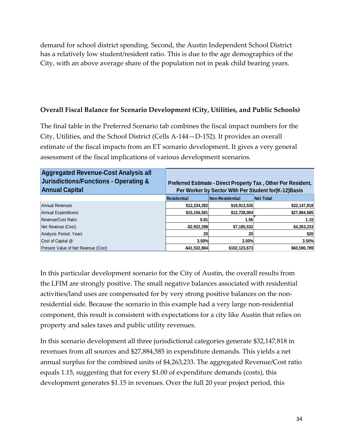demand for school district spending. Second, the Austin Independent School District has a relatively low student/resident ratio. This is due to the age demographics of the City, with an above average share of the population not in peak child bearing years.

#### **Overall Fiscal Balance for Scenario Development (City, Utilities, and Public Schools)**

The final table in the Preferred Scenario tab combines the fiscal impact numbers for the City, Utilities, and the School District (Cells A-144—D-152). It provides an overall estimate of the fiscal impacts from an ET scenario development. It gives a very general assessment of the fiscal implications of various development scenarios.

| <b>Aggregated Revenue-Cost Analysis all</b><br><b>Jurisdictions/Functions - Operating &amp;</b><br><b>Annual Capital</b> | Preferred Estimate - Direct Property Tax, Other Per Resident,<br>Per Worker by Sector With Per Student for (K-12) Basis |                 |                  |
|--------------------------------------------------------------------------------------------------------------------------|-------------------------------------------------------------------------------------------------------------------------|-----------------|------------------|
|                                                                                                                          | <b>Residential</b>                                                                                                      | Non-Residential | <b>Net Total</b> |
| Annual Revenues                                                                                                          | \$12,234,282                                                                                                            | \$19,913,535    | \$32,147,818     |
| Annual Expenditures                                                                                                      | \$15, 156, 581                                                                                                          | \$12,728,004    | \$27,884,585     |
| Revenue/Cost Ratio                                                                                                       | 0.81                                                                                                                    | 1.56            | 1.15             |
| Net Revenue (Cost)                                                                                                       | $-$ \$2,922,298                                                                                                         | \$7,185,532     | \$4,263,233      |
| Analysis Period, Years                                                                                                   | 20                                                                                                                      | 20              | \$20             |
| Cost of Capital @                                                                                                        | 3.50%                                                                                                                   | 3.50%           | 3.50%            |
| Present Value of Net Revenue (Cost)                                                                                      | $-$ \$41,532,884                                                                                                        | \$102,123,673   | \$60,590,789     |

In this particular development scenario for the City of Austin, the overall results from the LFIM are strongly positive. The small negative balances associated with residential activities/land uses are compensated for by very strong positive balances on the nonresidential side. Because the scenario in this example had a very large non-residential component, this result is consistent with expectations for a city like Austin that relies on property and sales taxes and public utility revenues.

In this scenario development all three jurisdictional categories generate \$32,147,818 in revenues from all sources and \$27,884,585 in expenditure demands. This yields a net annual surplus for the combined units of \$4,263,233. The aggregated Revenue/Cost ratio equals 1.15, suggesting that for every \$1.00 of expenditure demands (costs), this development generates \$1.15 in revenues. Over the full 20 year project period, this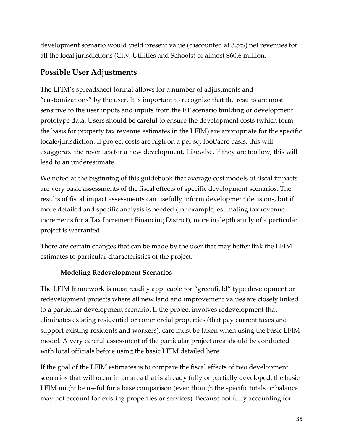development scenario would yield present value (discounted at 3.5%) net revenues for all the local jurisdictions (City, Utilities and Schools) of almost \$60.6 million.

# **Possible User Adjustments**

The LFIM's spreadsheet format allows for a number of adjustments and "customizations" by the user. It is important to recognize that the results are most sensitive to the user inputs and inputs from the ET scenario building or development prototype data. Users should be careful to ensure the development costs (which form the basis for property tax revenue estimates in the LFIM) are appropriate for the specific locale/jurisdiction. If project costs are high on a per sq. foot/acre basis, this will exaggerate the revenues for a new development. Likewise, if they are too low, this will lead to an underestimate.

We noted at the beginning of this guidebook that average cost models of fiscal impacts are very basic assessments of the fiscal effects of specific development scenarios. The results of fiscal impact assessments can usefully inform development decisions, but if more detailed and specific analysis is needed (for example, estimating tax revenue increments for a Tax Increment Financing District), more in depth study of a particular project is warranted.

There are certain changes that can be made by the user that may better link the LFIM estimates to particular characteristics of the project.

## **Modeling Redevelopment Scenarios**

The LFIM framework is most readily applicable for "greenfield" type development or redevelopment projects where all new land and improvement values are closely linked to a particular development scenario. If the project involves redevelopment that eliminates existing residential or commercial properties (that pay current taxes and support existing residents and workers), care must be taken when using the basic LFIM model. A very careful assessment of the particular project area should be conducted with local officials before using the basic LFIM detailed here.

If the goal of the LFIM estimates is to compare the fiscal effects of two development scenarios that will occur in an area that is already fully or partially developed, the basic LFIM might be useful for a base comparison (even though the specific totals or balance may not account for existing properties or services). Because not fully accounting for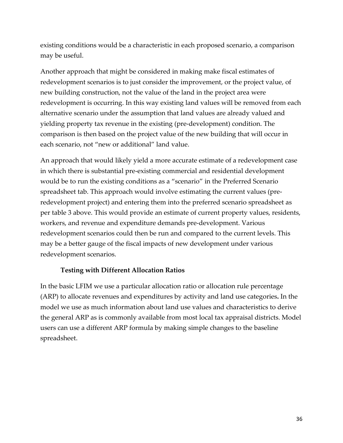existing conditions would be a characteristic in each proposed scenario, a comparison may be useful.

Another approach that might be considered in making make fiscal estimates of redevelopment scenarios is to just consider the improvement, or the project value, of new building construction, not the value of the land in the project area were redevelopment is occurring. In this way existing land values will be removed from each alternative scenario under the assumption that land values are already valued and yielding property tax revenue in the existing (pre-development) condition. The comparison is then based on the project value of the new building that will occur in each scenario, not "new or additional" land value.

An approach that would likely yield a more accurate estimate of a redevelopment case in which there is substantial pre-existing commercial and residential development would be to run the existing conditions as a "scenario" in the Preferred Scenario spreadsheet tab. This approach would involve estimating the current values (preredevelopment project) and entering them into the preferred scenario spreadsheet as per table 3 above. This would provide an estimate of current property values, residents, workers, and revenue and expenditure demands pre-development. Various redevelopment scenarios could then be run and compared to the current levels. This may be a better gauge of the fiscal impacts of new development under various redevelopment scenarios.

#### **Testing with Different Allocation Ratios**

In the basic LFIM we use a particular allocation ratio or allocation rule percentage (ARP) to allocate revenues and expenditures by activity and land use categories**.** In the model we use as much information about land use values and characteristics to derive the general ARP as is commonly available from most local tax appraisal districts. Model users can use a different ARP formula by making simple changes to the baseline spreadsheet.